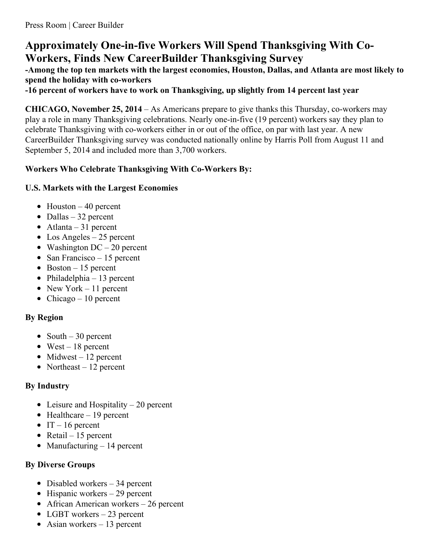# **Approximately One-in-five Workers Will Spend Thanksgiving With Co-Workers, Finds New CareerBuilder Thanksgiving Survey**

**-Among the top ten markets with the largest economies, Houston, Dallas, and Atlanta are most likely to spend the holiday with co-workers**

**-16 percent of workers have to work on Thanksgiving, up slightly from 14 percent last year**

**CHICAGO, November 25, 2014** – As Americans prepare to give thanks this Thursday, co-workers may play a role in many Thanksgiving celebrations. Nearly one-in-five (19 percent) workers say they plan to celebrate Thanksgiving with co-workers either in or out of the office, on par with last year. A new CareerBuilder Thanksgiving survey was conducted nationally online by Harris Poll from August 11 and September 5, 2014 and included more than 3,700 workers.

### **Workers Who Celebrate Thanksgiving With Co-Workers By:**

### **U.S. Markets with the Largest Economies**

- $\bullet$  Houston 40 percent
- $\bullet$  Dallas 32 percent
- Atlanta 31 percent
- Los Angeles 25 percent
- Washington  $DC 20$  percent
- San Francisco 15 percent
- $\bullet$  Boston 15 percent
- Philadelphia 13 percent
- New York 11 percent
- Chicago 10 percent

### **By Region**

- South  $-30$  percent
- $\bullet$  West 18 percent
- $\bullet$  Midwest 12 percent
- Northeast  $-12$  percent

### **By Industry**

- Leisure and Hospitality  $-20$  percent
- $\bullet$  Healthcare 19 percent
- $\bullet$  IT 16 percent
- Retail 15 percent
- Manufacturing  $-14$  percent

### **By Diverse Groups**

- Disabled workers 34 percent
- $\bullet$  Hispanic workers 29 percent
- African American workers 26 percent
- LGBT workers 23 percent
- Asian workers  $-13$  percent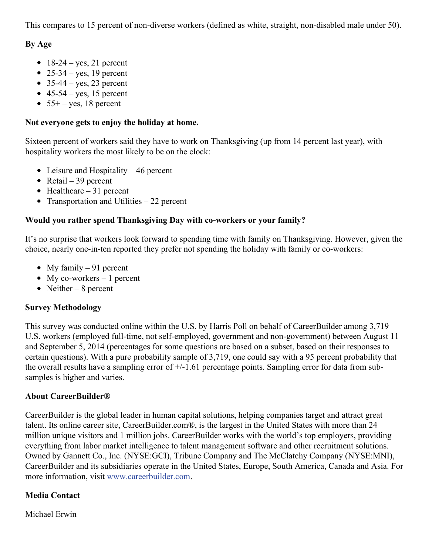This compares to 15 percent of non-diverse workers (defined as white, straight, non-disabled male under 50).

### **By Age**

- $\bullet$  18-24 yes, 21 percent
- 25-34 yes, 19 percent
- $\bullet$  35-44 yes, 23 percent
- $\bullet$  45-54 yes, 15 percent
- $\bullet$  55+ yes, 18 percent

#### **Not everyone gets to enjoy the holiday at home.**

Sixteen percent of workers said they have to work on Thanksgiving (up from 14 percent last year), with hospitality workers the most likely to be on the clock:

- Leisure and Hospitality  $-46$  percent
- Retail 39 percent
- $\bullet$  Healthcare 31 percent
- Transportation and Utilities  $-22$  percent

## **Would you rather spend Thanksgiving Day with co-workers or your family?**

It's no surprise that workers look forward to spending time with family on Thanksgiving. However, given the choice, nearly one-in-ten reported they prefer not spending the holiday with family or co-workers:

- My family  $-91$  percent
- My co-workers  $-1$  percent
- Neither 8 percent

### **Survey Methodology**

This survey was conducted online within the U.S. by Harris Poll on behalf of CareerBuilder among 3,719 U.S. workers (employed full-time, not self-employed, government and non-government) between August 11 and September 5, 2014 (percentages for some questions are based on a subset, based on their responses to certain questions). With a pure probability sample of 3,719, one could say with a 95 percent probability that the overall results have a sampling error of  $+/-1.61$  percentage points. Sampling error for data from subsamples is higher and varies.

### **About CareerBuilder®**

CareerBuilder is the global leader in human capital solutions, helping companies target and attract great talent. Its online career site, CareerBuilder.com®, is the largest in the United States with more than 24 million unique visitors and 1 million jobs. CareerBuilder works with the world's top employers, providing everything from labor market intelligence to talent management software and other recruitment solutions. Owned by Gannett Co., Inc. (NYSE:GCI), Tribune Company and The McClatchy Company (NYSE:MNI), CareerBuilder and its subsidiaries operate in the United States, Europe, South America, Canada and Asia. For more information, visit [www.careerbuilder.com](http://www.careerbuilder.com/).

## **Media Contact**

Michael Erwin